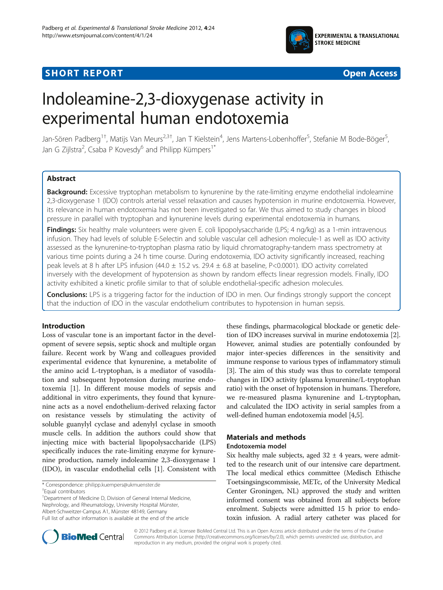

## **SHORT REPORT SHORT CONSUMING THE CONSUMING THE CONSUMING THE CONSUMING THE CONSUMING THE CONSUMING THE CONSUMING THE CONSUMING THE CONSUMING THE CONSUMING THE CONSUMING THE CONSUMING THE CONSUMING THE CONSUMING THE CO**



# Indoleamine-2,3-dioxygenase activity in experimental human endotoxemia

Jan-Sören Padberg<sup>1†</sup>, Matijs Van Meurs<sup>2,3†</sup>, Jan T Kielstein<sup>4</sup>, Jens Martens-Lobenhoffer<sup>5</sup>, Stefanie M Bode-Böger<sup>5</sup> , Jan G Zijlstra<sup>2</sup>, Csaba P Kovesdy<sup>6</sup> and Philipp Kümpers<sup>1\*</sup>

## Abstract

Background: Excessive tryptophan metabolism to kynurenine by the rate-limiting enzyme endothelial indoleamine 2,3-dioxygenase 1 (IDO) controls arterial vessel relaxation and causes hypotension in murine endotoxemia. However, its relevance in human endotoxemia has not been investigated so far. We thus aimed to study changes in blood pressure in parallel with tryptophan and kynurenine levels during experimental endotoxemia in humans.

Findings: Six healthy male volunteers were given E. coli lipopolysaccharide (LPS; 4 ng/kg) as a 1-min intravenous infusion. They had levels of soluble E-Selectin and soluble vascular cell adhesion molecule-1 as well as IDO activity assessed as the kynurenine-to-tryptophan plasma ratio by liquid chromatography-tandem mass spectrometry at various time points during a 24 h time course. During endotoxemia, IDO activity significantly increased, reaching peak levels at 8 h after LPS infusion (44.0  $\pm$  15.2 vs. 29.4  $\pm$  6.8 at baseline, P<0.0001). IDO activity correlated inversely with the development of hypotension as shown by random effects linear regression models. Finally, IDO activity exhibited a kinetic profile similar to that of soluble endothelial-specific adhesion molecules.

**Conclusions:** LPS is a triggering factor for the induction of IDO in men. Our findings strongly support the concept that the induction of IDO in the vascular endothelium contributes to hypotension in human sepsis.

## Introduction

Loss of vascular tone is an important factor in the development of severe sepsis, septic shock and multiple organ failure. Recent work by Wang and colleagues provided experimental evidence that kynurenine, a metabolite of the amino acid L-tryptophan, is a mediator of vasodilation and subsequent hypotension during murine endotoxemia [[1\]](#page-3-0). In different mouse models of sepsis and additional in vitro experiments, they found that kynurenine acts as a novel endothelium-derived relaxing factor on resistance vessels by stimulating the activity of soluble guanylyl cyclase and adenylyl cyclase in smooth muscle cells. In addition the authors could show that injecting mice with bacterial lipopolysaccharide (LPS) specifically induces the rate-limiting enzyme for kynurenine production, namely indoleamine 2,3-dioxygenase 1 (IDO), in vascular endothelial cells [[1\]](#page-3-0). Consistent with

<sup>1</sup>Department of Medicine D, Division of General Internal Medicine, Nephrology, and Rheumatology, University Hospital Münster,

Albert-Schweitzer-Campus A1, Münster 48149, Germany

these findings, pharmacological blockade or genetic deletion of IDO increases survival in murine endotoxemia [[2](#page-3-0)]. However, animal studies are potentially confounded by major inter-species differences in the sensitivity and immune response to various types of inflammatory stimuli [[3\]](#page-3-0). The aim of this study was thus to correlate temporal changes in IDO activity (plasma kynurenine/L-tryptophan ratio) with the onset of hypotension in humans. Therefore, we re-measured plasma kynurenine and L-tryptophan, and calculated the IDO activity in serial samples from a well-defined human endotoxemia model [\[4,5](#page-3-0)].

## Materials and methods Endotoxemia model

Six healthy male subjects, aged  $32 \pm 4$  years, were admitted to the research unit of our intensive care department. The local medical ethics committee (Medisch Ethische Toetsingsingscommissie, METc, of the University Medical Center Groningen, NL) approved the study and written informed consent was obtained from all subjects before enrolment. Subjects were admitted 15 h prior to endotoxin infusion. A radial artery catheter was placed for



© 2012 Padberg et al.; licensee BioMed Central Ltd. This is an Open Access article distributed under the terms of the Creative Commons Attribution License [\(http://creativecommons.org/licenses/by/2.0\)](http://creativecommons.org/licenses/by/2.0), which permits unrestricted use, distribution, and reproduction in any medium, provided the original work is properly cited.

<sup>\*</sup> Correspondence: [philipp.kuempers@ukmuenster.de](mailto:philipp.kuempers@ukmuenster.de) †

Equal contributors

Full list of author information is available at the end of the article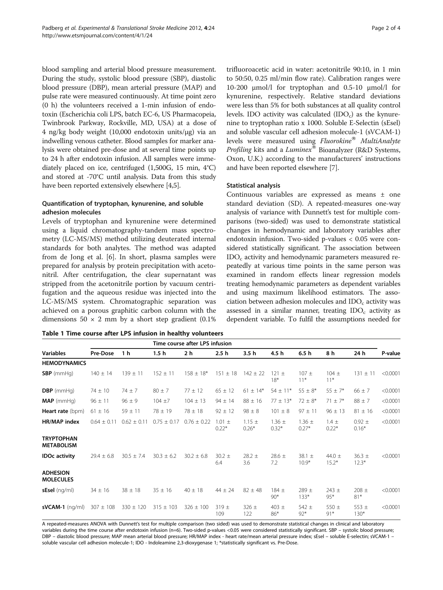<span id="page-1-0"></span>blood sampling and arterial blood pressure measurement. During the study, systolic blood pressure (SBP), diastolic blood pressure (DBP), mean arterial pressure (MAP) and pulse rate were measured continuously. At time point zero (0 h) the volunteers received a 1-min infusion of endotoxin (Escherichia coli LPS, batch EC-6, US Pharmacopeia, Twinbrook Parkway, Rockville, MD, USA) at a dose of 4 ng/kg body weight (10,000 endotoxin units/μg) via an indwelling venous catheter. Blood samples for marker analysis were obtained pre-dose and at several time points up to 24 h after endotoxin infusion. All samples were immediately placed on ice, centrifuged (1,500G, 15 min, 4°C) and stored at -70°C until analysis. Data from this study have been reported extensively elsewhere [\[4,5](#page-3-0)].

## Quantification of tryptophan, kynurenine, and soluble adhesion molecules

Levels of tryptophan and kynurenine were determined using a liquid chromatography-tandem mass spectrometry (LC-MS/MS) method utilizing deuterated internal standards for both analytes. The method was adapted from de Jong et al. [\[6\]](#page-3-0). In short, plasma samples were prepared for analysis by protein precipitation with acetonitril. After centrifugation, the clear supernatant was stripped from the acetonitrile portion by vacuum centrifugation and the aqueous residue was injected into the LC-MS/MS system. Chromatographic separation was achieved on a porous graphitic carbon column with the dimensions  $50 \times 2$  mm by a short step gradient  $(0.1\%)$ 

trifluoroacetic acid in water: acetonitrile 90:10, in 1 min to 50:50, 0.25 ml/min flow rate). Calibration ranges were 10-200 μmol/l for tryptophan and 0.5-10 μmol/l for kynurenine, respectively. Relative standard deviations were less than 5% for both substances at all quality control levels. IDO activity was calculated  $(IDO<sub>c</sub>)$  as the kynurenine to tryptophan ratio x 1000. Soluble E-Selectin (sEsel) and soluble vascular cell adhesion molecule-1 (sVCAM-1) levels were measured using Fluorokine® MultiAnalyte Profiling kits and a Luminex® Bioanalyzer (R&D Systems, Oxon, U.K.) according to the manufacturers' instructions and have been reported elsewhere [\[7\]](#page-3-0).

## Statistical analysis

Continuous variables are expressed as means ± one standard deviation (SD). A repeated-measures one-way analysis of variance with Dunnett's test for multiple comparisons (two-sided) was used to demonstrate statistical changes in hemodynamic and laboratory variables after endotoxin infusion. Two-sided p-values < 0.05 were considered statistically significant. The association between  $IDO<sub>c</sub>$  activity and hemodynamic parameters measured repeatedly at various time points in the same person was examined in random effects linear regression models treating hemodynamic parameters as dependent variables and using maximum likelihood estimators. The association between adhesion molecules and  $IDO<sub>c</sub>$  activity was assessed in a similar manner, treating  $IDO<sub>c</sub>$  activity as dependent variable. To fulfil the assumptions needed for

| Table 1 Time course after LPS infusion in healthy volunteers |  |
|--------------------------------------------------------------|--|
|--------------------------------------------------------------|--|

| <b>Variables</b>                       |                 |                 |                 | Time course after LPS infusion |                       |                       |                       |                       |                       |                       |          |
|----------------------------------------|-----------------|-----------------|-----------------|--------------------------------|-----------------------|-----------------------|-----------------------|-----------------------|-----------------------|-----------------------|----------|
|                                        | Pre-Dose        | 1 h             | 1.5 h           | 2 h                            | 2.5 h                 | 3.5 h                 | 4.5 h                 | 6.5h                  | 8 h                   | 24 h                  | P-value  |
| <b>HEMODYNAMICS</b>                    |                 |                 |                 |                                |                       |                       |                       |                       |                       |                       |          |
| $SBP$ (mmHg)                           | $140 \pm 14$    | $139 \pm 11$    | $152 \pm 11$    | $158 \pm 18*$                  | $151 \pm 18$          | $142 \pm 22$          | $121 \pm$<br>$18*$    | $107 \pm$<br>$11*$    | $104 \pm$<br>$11*$    | $131 \pm 11$          | < 0.0001 |
| $DBP$ (mmHq)                           | $74 \pm 10$     | $74 \pm 7$      | $80 \pm 7$      | $77 \pm 12$                    | $65 \pm 12$           | $61 \pm 14*$          | $54 \pm 11*$          | $55 \pm 8*$           | $55 \pm 7*$           | $66 \pm 7$            | < 0.0001 |
| $MAP$ (mmHq)                           | $96 \pm 11$     | $96 \pm 9$      | $104 + 7$       | $104 \pm 13$                   | $94 \pm 14$           | $88 + 16$             | $77 + 13*$            | $72 \pm 8*$           | $71 \pm 7*$           | $88 \pm 7$            | < 0.0001 |
| Heart rate (bpm)                       | $61 \pm 16$     | $59 \pm 11$     | $78 \pm 19$     | $78 + 18$                      | $92 \pm 12$           | $98 + 8$              | $101 \pm 8$           | $97 + 11$             | $96 \pm 13$           | $81 \pm 16$           | < 0.0001 |
| HR/MAP index                           | $0.64 \pm 0.11$ | $0.62 \pm 0.11$ | $0.75 \pm 0.17$ | $0.76 \pm 0.22$                | $1.01 \pm$<br>$0.22*$ | $1.15 \pm$<br>$0.26*$ | $1.36 \pm$<br>$0.32*$ | $1.36 \pm$<br>$0.27*$ | $1.4 \pm$<br>$0.22*$  | $0.92 \pm$<br>$0.16*$ | < 0.0001 |
| <b>TRYPTOPHAN</b><br><b>METABOLISM</b> |                 |                 |                 |                                |                       |                       |                       |                       |                       |                       |          |
| <b>IDOc activity</b>                   | $29.4 \pm 6.8$  | $30.5 \pm 7.4$  | $30.3 \pm 6.2$  | $30.2 \pm 6.8$                 | $30.2 \pm$<br>6.4     | $28.2 \pm$<br>3.6     | $28.6 \pm$<br>7.2     | 38.1 $\pm$<br>$10.9*$ | 44.0 $\pm$<br>$15.2*$ | $36.3 \pm$<br>$12.3*$ | < 0.0001 |
| <b>ADHESION</b><br><b>MOLECULES</b>    |                 |                 |                 |                                |                       |                       |                       |                       |                       |                       |          |
| $sEsel$ (ng/ml)                        | $34 \pm 16$     | $38 \pm 18$     | $35 \pm 16$     | $40 \pm 18$                    | $44 \pm 24$           | $82 \pm 48$           | $184 +$<br>$90*$      | $789 +$<br>$133*$     | $743 +$<br>95*        | $208 \pm$<br>$81*$    | < 0.0001 |
| $sVCAM-1$ (ng/ml)                      | $307 \pm 108$   | $330 \pm 120$   | $315 \pm 103$   | $326 \pm 100$                  | $319 \pm$<br>109      | $326 \pm$<br>122      | $403 \pm$<br>$86*$    | $542 \pm$<br>$92*$    | 550 $\pm$<br>$91*$    | 553 $\pm$<br>$130*$   | < 0.0001 |

A repeated-measures ANOVA with Dunnett's test for multiple comparison (two sided) was used to demonstrate statistical changes in clinical and laboratory variables during the time course after endotoxin infusion (n=6). Two-sided p-values <0.05 were considered statistically significant. SBP - systolic blood pressure; DBP – diastolic blood pressure; MAP mean arterial blood pressure; HR/MAP index - heart rate/mean arterial pressure index; sEsel – soluble E-selectin; sVCAM-1 – soluble vascular cell adhesion molecule-1; IDO - Indoleamine 2,3-dioxygenase 1; \*statistically significant vs. Pre-Dose.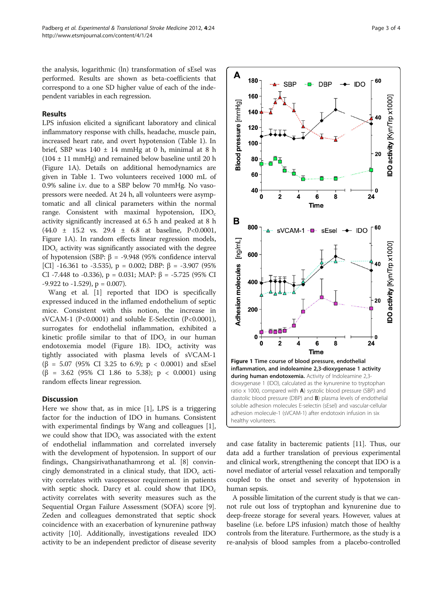the analysis, logarithmic (ln) transformation of sEsel was performed. Results are shown as beta-coefficients that correspond to a one SD higher value of each of the independent variables in each regression.

## Results

LPS infusion elicited a significant laboratory and clinical inflammatory response with chills, headache, muscle pain, increased heart rate, and overt hypotension (Table [1](#page-1-0)). In brief, SBP was 140 ± 14 mmHg at 0 h, minimal at 8 h  $(104 \pm 11 \text{ mmHg})$  and remained below baseline until 20 h (Figure 1A). Details on additional hemodynamics are given in Table [1](#page-1-0). Two volunteers received 1000 mL of 0.9% saline i.v. due to a SBP below 70 mmHg. No vasopressors were needed. At 24 h, all volunteers were asymptomatic and all clinical parameters within the normal range. Consistent with maximal hypotension,  $IDO<sub>c</sub>$ activity significantly increased at 6.5 h and peaked at 8 h (44.0 ± 15.2 vs. 29.4 ± 6.8 at baseline, P<0.0001, Figure 1A). In random effects linear regression models,  $IDO<sub>c</sub>$  activity was significantly associated with the degree of hypotension (SBP: β = -9.948 (95% confidence interval [CI] -16.361 to -3.535),  $p = 0.002$ ; DBP:  $\beta = -3.907$  (95%) CI -7.448 to -0.336),  $p = 0.031$ ; MAP: β = -5.725 (95% CI  $-9.922$  to  $-1.529$ ),  $p = 0.007$ ).

Wang et al. [\[1](#page-3-0)] reported that IDO is specifically expressed induced in the inflamed endothelium of septic mice. Consistent with this notion, the increase in sVCAM-1 (P<0.0001) and soluble E-Selectin (P<0.0001), surrogates for endothelial inflammation, exhibited a kinetic profile similar to that of  $IDO<sub>c</sub>$  in our human endotoxemia model (Figure 1B). IDO<sub>c</sub> activity was tightly associated with plasma levels of sVCAM-1 (β = 5.07 (95% CI 3.25 to 6.9); p < 0.0001) and sEsel (β = 3.62 (95% CI 1.86 to 5.38); p < 0.0001) using random effects linear regression.

## **Discussion**

Here we show that, as in mice [[1\]](#page-3-0), LPS is a triggering factor for the induction of IDO in humans. Consistent with experimental findings by Wang and colleagues [\[1](#page-3-0)], we could show that  $IDO_c$  was associated with the extent of endothelial inflammation and correlated inversely with the development of hypotension. In support of our findings, Changsirivathanathamrong et al. [[8\]](#page-3-0) convincingly demonstrated in a clinical study, that  $IDO<sub>c</sub>$  activity correlates with vasopressor requirement in patients with septic shock. Darcy et al. could show that  $IDO_c$ activity correlates with severity measures such as the Sequential Organ Failure Assessment (SOFA) score [\[9](#page-3-0)]. Zeden and colleagues demonstrated that septic shock coincidence with an exacerbation of kynurenine pathway activity [\[10](#page-3-0)]. Additionally, investigations revealed IDO activity to be an independent predictor of disease severity



and case fatality in bacteremic patients [[11](#page-3-0)]. Thus, our data add a further translation of previous experimental and clinical work, strengthening the concept that IDO is a novel mediator of arterial vessel relaxation and temporally coupled to the onset and severity of hypotension in human sepsis.

A possible limitation of the current study is that we cannot rule out loss of tryptophan and kynurenine due to deep-freeze storage for several years. However, values at baseline (i.e. before LPS infusion) match those of healthy controls from the literature. Furthermore, as the study is a re-analysis of blood samples from a placebo-controlled